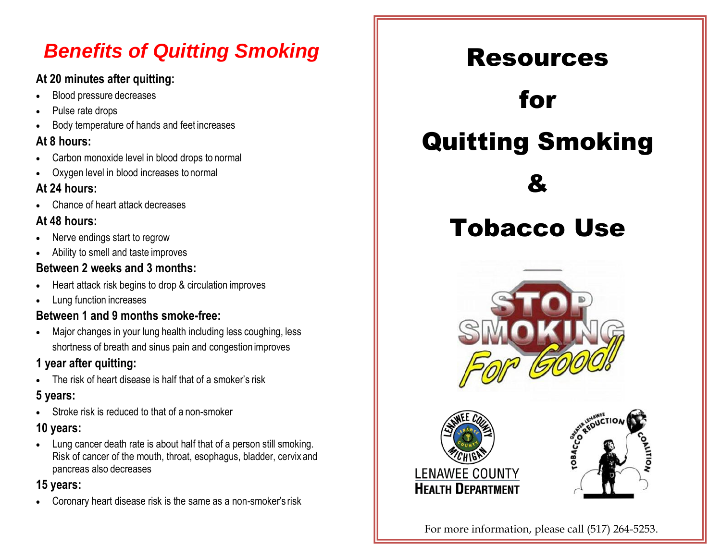# *Benefits of Quitting Smoking*

#### **At 20 minutes after quitting:**

- Blood pressure decreases
- Pulse rate drops
- Body temperature of hands and feet increases

#### **At 8 hours:**

- Carbon monoxide level in blood drops to normal
- Oxygen level in blood increases to normal

#### **At 24 hours:**

• Chance of heart attack decreases

#### **At 48 hours:**

- Nerve endings start to regrow
- Ability to smell and taste improves

#### **Between 2 weeks and 3 months:**

- Heart attack risk begins to drop & circulation improves
- Lung function increases

### **Between 1 and 9 months smoke-free:**

• Major changes in your lung health including less coughing, less shortness of breath and sinus pain and congestion improves

## **1 year after quitting:**

The risk of heart disease is half that of a smoker's risk

### **5 years:**

• Stroke risk is reduced to that of a non-smoker

## **10 years:**

• Lung cancer death rate is about half that of a person still smoking. Risk of cancer of the mouth, throat, esophagus, bladder, cervix and pancreas also decreases

## **15 years:**

• Coronary heart disease risk is the same as a non-smoker's risk



For more information, please call (517) 264-5253.